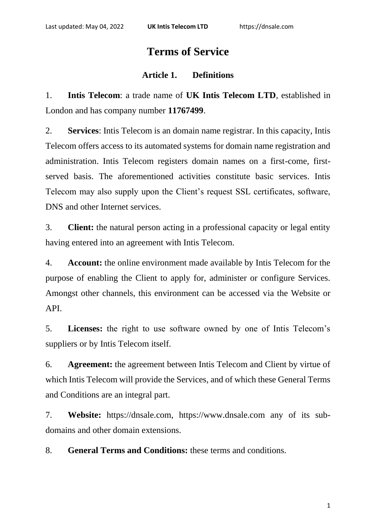# **Terms of Service**

## **Article 1. Definitions**

1. **Intis Telecom**: a trade name of **UK Intis Telecom LTD**, established in London and has company number **11767499**.

2. **Services**: Intis Telecom is an domain name registrar. In this capacity, Intis Telecom offers access to its automated systems for domain name registration and administration. Intis Telecom registers domain names on a first-come, firstserved basis. The aforementioned activities constitute basic services. Intis Telecom may also supply upon the Client's request SSL certificates, software, DNS and other Internet services.

3. **Client:** the natural person acting in a professional capacity or legal entity having entered into an agreement with Intis Telecom.

4. **Account:** the online environment made available by Intis Telecom for the purpose of enabling the Client to apply for, administer or configure Services. Amongst other channels, this environment can be accessed via the Website or API.

5. **Licenses:** the right to use software owned by one of Intis Telecom's suppliers or by Intis Telecom itself.

6. **Agreement:** the agreement between Intis Telecom and Client by virtue of which Intis Telecom will provide the Services, and of which these General Terms and Conditions are an integral part.

7. **Website:** https://dnsale.com, https://www.dnsale.com any of its subdomains and other domain extensions.

8. **General Terms and Conditions:** these terms and conditions.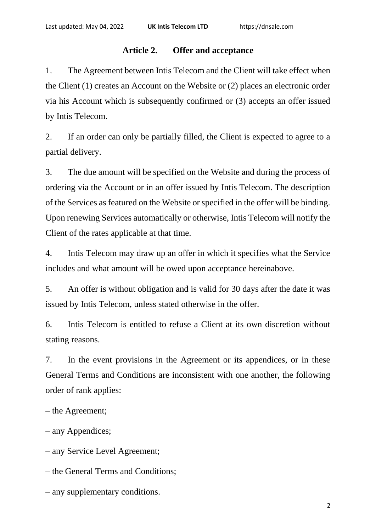# **Article 2. Offer and acceptance**

1. The Agreement between Intis Telecom and the Client will take effect when the Client (1) creates an Account on the Website or (2) places an electronic order via his Account which is subsequently confirmed or (3) accepts an offer issued by Intis Telecom.

2. If an order can only be partially filled, the Client is expected to agree to a partial delivery.

3. The due amount will be specified on the Website and during the process of ordering via the Account or in an offer issued by Intis Telecom. The description of the Services as featured on the Website or specified in the offer will be binding. Upon renewing Services automatically or otherwise, Intis Telecom will notify the Client of the rates applicable at that time.

4. Intis Telecom may draw up an offer in which it specifies what the Service includes and what amount will be owed upon acceptance hereinabove.

5. An offer is without obligation and is valid for 30 days after the date it was issued by Intis Telecom, unless stated otherwise in the offer.

6. Intis Telecom is entitled to refuse a Client at its own discretion without stating reasons.

7. In the event provisions in the Agreement or its appendices, or in these General Terms and Conditions are inconsistent with one another, the following order of rank applies:

– the Agreement;

– any Appendices;

– any Service Level Agreement;

– the General Terms and Conditions;

– any supplementary conditions.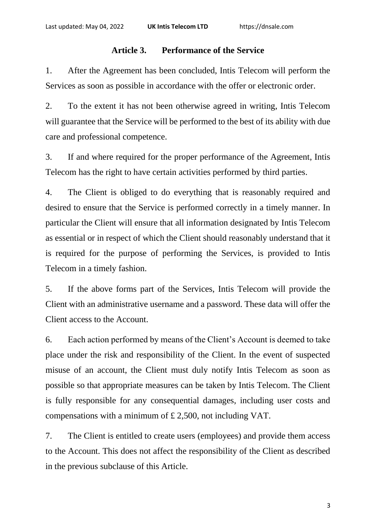## **Article 3. Performance of the Service**

1. After the Agreement has been concluded, Intis Telecom will perform the Services as soon as possible in accordance with the offer or electronic order.

2. To the extent it has not been otherwise agreed in writing, Intis Telecom will guarantee that the Service will be performed to the best of its ability with due care and professional competence.

3. If and where required for the proper performance of the Agreement, Intis Telecom has the right to have certain activities performed by third parties.

4. The Client is obliged to do everything that is reasonably required and desired to ensure that the Service is performed correctly in a timely manner. In particular the Client will ensure that all information designated by Intis Telecom as essential or in respect of which the Client should reasonably understand that it is required for the purpose of performing the Services, is provided to Intis Telecom in a timely fashion.

5. If the above forms part of the Services, Intis Telecom will provide the Client with an administrative username and a password. These data will offer the Client access to the Account.

6. Each action performed by means of the Client's Account is deemed to take place under the risk and responsibility of the Client. In the event of suspected misuse of an account, the Client must duly notify Intis Telecom as soon as possible so that appropriate measures can be taken by Intis Telecom. The Client is fully responsible for any consequential damages, including user costs and compensations with a minimum of £ 2,500, not including VAT.

7. The Client is entitled to create users (employees) and provide them access to the Account. This does not affect the responsibility of the Client as described in the previous subclause of this Article.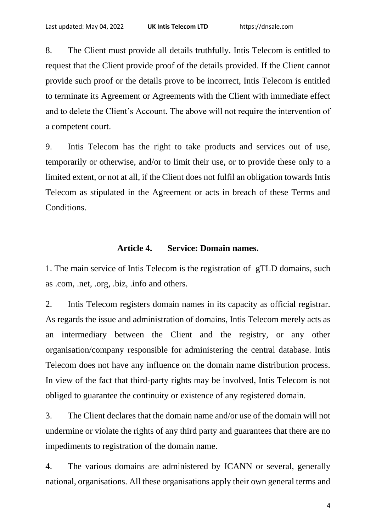8. The Client must provide all details truthfully. Intis Telecom is entitled to request that the Client provide proof of the details provided. If the Client cannot provide such proof or the details prove to be incorrect, Intis Telecom is entitled to terminate its Agreement or Agreements with the Client with immediate effect and to delete the Client's Account. The above will not require the intervention of a competent court.

9. Intis Telecom has the right to take products and services out of use, temporarily or otherwise, and/or to limit their use, or to provide these only to a limited extent, or not at all, if the Client does not fulfil an obligation towards Intis Telecom as stipulated in the Agreement or acts in breach of these Terms and Conditions.

#### **Article 4. Service: Domain names.**

1. The main service of Intis Telecom is the registration of gTLD domains, such as .com, .net, .org, .biz, .info and others.

2. Intis Telecom registers domain names in its capacity as official registrar. As regards the issue and administration of domains, Intis Telecom merely acts as an intermediary between the Client and the registry, or any other organisation/company responsible for administering the central database. Intis Telecom does not have any influence on the domain name distribution process. In view of the fact that third-party rights may be involved, Intis Telecom is not obliged to guarantee the continuity or existence of any registered domain.

3. The Client declares that the domain name and/or use of the domain will not undermine or violate the rights of any third party and guarantees that there are no impediments to registration of the domain name.

4. The various domains are administered by ICANN or several, generally national, organisations. All these organisations apply their own general terms and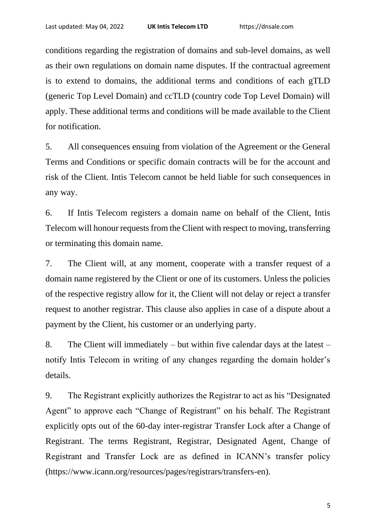conditions regarding the registration of domains and sub-level domains, as well as their own regulations on domain name disputes. If the contractual agreement is to extend to domains, the additional terms and conditions of each gTLD (generic Top Level Domain) and ccTLD (country code Top Level Domain) will apply. These additional terms and conditions will be made available to the Client for notification.

5. All consequences ensuing from violation of the Agreement or the General Terms and Conditions or specific domain contracts will be for the account and risk of the Client. Intis Telecom cannot be held liable for such consequences in any way.

6. If Intis Telecom registers a domain name on behalf of the Client, Intis Telecom will honour requests from the Client with respect to moving, transferring or terminating this domain name.

7. The Client will, at any moment, cooperate with a transfer request of a domain name registered by the Client or one of its customers. Unless the policies of the respective registry allow for it, the Client will not delay or reject a transfer request to another registrar. This clause also applies in case of a dispute about a payment by the Client, his customer or an underlying party.

8. The Client will immediately – but within five calendar days at the latest – notify Intis Telecom in writing of any changes regarding the domain holder's details.

9. The Registrant explicitly authorizes the Registrar to act as his "Designated Agent" to approve each "Change of Registrant" on his behalf. The Registrant explicitly opts out of the 60-day inter-registrar Transfer Lock after a Change of Registrant. The terms Registrant, Registrar, Designated Agent, Change of Registrant and Transfer Lock are as defined in ICANN's transfer policy (https://www.icann.org/resources/pages/registrars/transfers-en).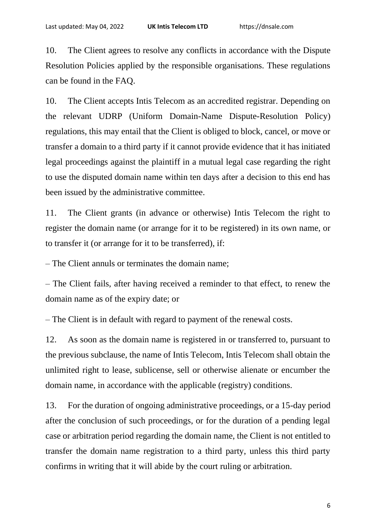10. The Client agrees to resolve any conflicts in accordance with the Dispute Resolution Policies applied by the responsible organisations. These regulations can be found in the FAQ.

10. The Client accepts Intis Telecom as an accredited registrar. Depending on the relevant UDRP (Uniform Domain-Name Dispute-Resolution Policy) regulations, this may entail that the Client is obliged to block, cancel, or move or transfer a domain to a third party if it cannot provide evidence that it has initiated legal proceedings against the plaintiff in a mutual legal case regarding the right to use the disputed domain name within ten days after a decision to this end has been issued by the administrative committee.

11. The Client grants (in advance or otherwise) Intis Telecom the right to register the domain name (or arrange for it to be registered) in its own name, or to transfer it (or arrange for it to be transferred), if:

– The Client annuls or terminates the domain name;

– The Client fails, after having received a reminder to that effect, to renew the domain name as of the expiry date; or

– The Client is in default with regard to payment of the renewal costs.

12. As soon as the domain name is registered in or transferred to, pursuant to the previous subclause, the name of Intis Telecom, Intis Telecom shall obtain the unlimited right to lease, sublicense, sell or otherwise alienate or encumber the domain name, in accordance with the applicable (registry) conditions.

13. For the duration of ongoing administrative proceedings, or a 15-day period after the conclusion of such proceedings, or for the duration of a pending legal case or arbitration period regarding the domain name, the Client is not entitled to transfer the domain name registration to a third party, unless this third party confirms in writing that it will abide by the court ruling or arbitration.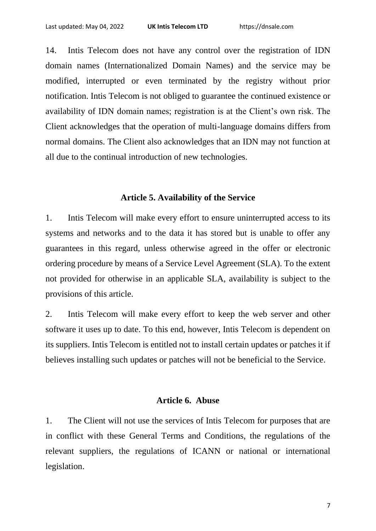14. Intis Telecom does not have any control over the registration of IDN domain names (Internationalized Domain Names) and the service may be modified, interrupted or even terminated by the registry without prior notification. Intis Telecom is not obliged to guarantee the continued existence or availability of IDN domain names; registration is at the Client's own risk. The Client acknowledges that the operation of multi-language domains differs from normal domains. The Client also acknowledges that an IDN may not function at all due to the continual introduction of new technologies.

#### **Article 5. Availability of the Service**

1. Intis Telecom will make every effort to ensure uninterrupted access to its systems and networks and to the data it has stored but is unable to offer any guarantees in this regard, unless otherwise agreed in the offer or electronic ordering procedure by means of a Service Level Agreement (SLA). To the extent not provided for otherwise in an applicable SLA, availability is subject to the provisions of this article.

2. Intis Telecom will make every effort to keep the web server and other software it uses up to date. To this end, however, Intis Telecom is dependent on its suppliers. Intis Telecom is entitled not to install certain updates or patches it if believes installing such updates or patches will not be beneficial to the Service.

# **Article 6. Abuse**

1. The Client will not use the services of Intis Telecom for purposes that are in conflict with these General Terms and Conditions, the regulations of the relevant suppliers, the regulations of ICANN or national or international legislation.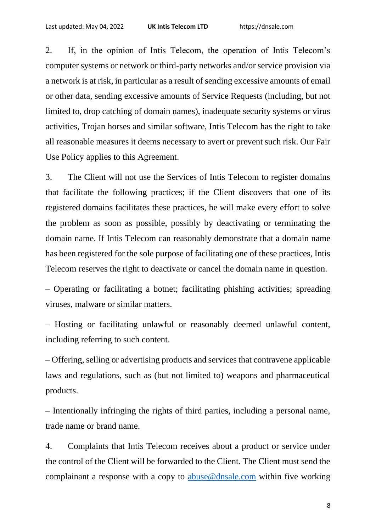2. If, in the opinion of Intis Telecom, the operation of Intis Telecom's computer systems or network or third-party networks and/or service provision via a network is at risk, in particular as a result of sending excessive amounts of email or other data, sending excessive amounts of Service Requests (including, but not limited to, drop catching of domain names), inadequate security systems or virus activities, Trojan horses and similar software, Intis Telecom has the right to take all reasonable measures it deems necessary to avert or prevent such risk. Our Fair Use Policy applies to this Agreement.

3. The Client will not use the Services of Intis Telecom to register domains that facilitate the following practices; if the Client discovers that one of its registered domains facilitates these practices, he will make every effort to solve the problem as soon as possible, possibly by deactivating or terminating the domain name. If Intis Telecom can reasonably demonstrate that a domain name has been registered for the sole purpose of facilitating one of these practices, Intis Telecom reserves the right to deactivate or cancel the domain name in question.

– Operating or facilitating a botnet; facilitating phishing activities; spreading viruses, malware or similar matters.

– Hosting or facilitating unlawful or reasonably deemed unlawful content, including referring to such content.

– Offering, selling or advertising products and services that contravene applicable laws and regulations, such as (but not limited to) weapons and pharmaceutical products.

– Intentionally infringing the rights of third parties, including a personal name, trade name or brand name.

4. Complaints that Intis Telecom receives about a product or service under the control of the Client will be forwarded to the Client. The Client must send the complainant a response with a copy to [abuse@dnsale.com](mailto:abuse@dnsale.com) within five working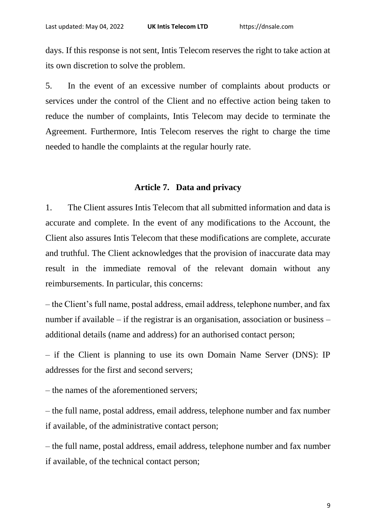days. If this response is not sent, Intis Telecom reserves the right to take action at its own discretion to solve the problem.

5. In the event of an excessive number of complaints about products or services under the control of the Client and no effective action being taken to reduce the number of complaints, Intis Telecom may decide to terminate the Agreement. Furthermore, Intis Telecom reserves the right to charge the time needed to handle the complaints at the regular hourly rate.

#### **Article 7. Data and privacy**

1. The Client assures Intis Telecom that all submitted information and data is accurate and complete. In the event of any modifications to the Account, the Client also assures Intis Telecom that these modifications are complete, accurate and truthful. The Client acknowledges that the provision of inaccurate data may result in the immediate removal of the relevant domain without any reimbursements. In particular, this concerns:

– the Client's full name, postal address, email address, telephone number, and fax number if available – if the registrar is an organisation, association or business – additional details (name and address) for an authorised contact person;

– if the Client is planning to use its own Domain Name Server (DNS): IP addresses for the first and second servers;

– the names of the aforementioned servers;

– the full name, postal address, email address, telephone number and fax number if available, of the administrative contact person;

– the full name, postal address, email address, telephone number and fax number if available, of the technical contact person;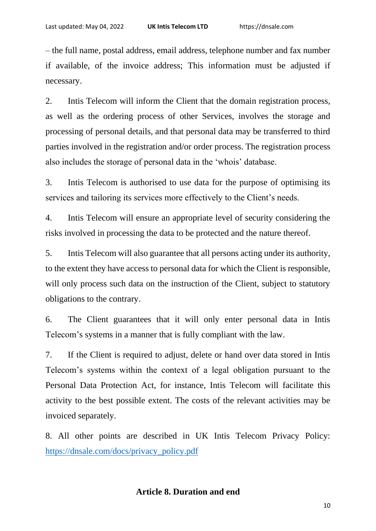– the full name, postal address, email address, telephone number and fax number if available, of the invoice address; This information must be adjusted if necessary.

2. Intis Telecom will inform the Client that the domain registration process, as well as the ordering process of other Services, involves the storage and processing of personal details, and that personal data may be transferred to third parties involved in the registration and/or order process. The registration process also includes the storage of personal data in the 'whois' database.

3. Intis Telecom is authorised to use data for the purpose of optimising its services and tailoring its services more effectively to the Client's needs.

4. Intis Telecom will ensure an appropriate level of security considering the risks involved in processing the data to be protected and the nature thereof.

5. Intis Telecom will also guarantee that all persons acting under its authority, to the extent they have access to personal data for which the Client is responsible, will only process such data on the instruction of the Client, subject to statutory obligations to the contrary.

6. The Client guarantees that it will only enter personal data in Intis Telecom's systems in a manner that is fully compliant with the law.

7. If the Client is required to adjust, delete or hand over data stored in Intis Telecom's systems within the context of a legal obligation pursuant to the Personal Data Protection Act, for instance, Intis Telecom will facilitate this activity to the best possible extent. The costs of the relevant activities may be invoiced separately.

8. All other points are described in UK Intis Telecom Privacy Policy: [https://dnsale.com/docs/privacy\\_policy.pdf](https://dnsale.com/docs/privacy_policy.pdf)

#### **Article 8. Duration and end**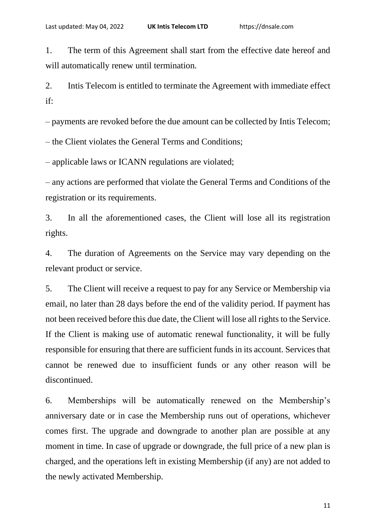1. The term of this Agreement shall start from the effective date hereof and will automatically renew until termination.

2. Intis Telecom is entitled to terminate the Agreement with immediate effect if:

– payments are revoked before the due amount can be collected by Intis Telecom;

– the Client violates the General Terms and Conditions;

– applicable laws or ICANN regulations are violated;

– any actions are performed that violate the General Terms and Conditions of the registration or its requirements.

3. In all the aforementioned cases, the Client will lose all its registration rights.

4. The duration of Agreements on the Service may vary depending on the relevant product or service.

5. The Client will receive a request to pay for any Service or Membership via email, no later than 28 days before the end of the validity period. If payment has not been received before this due date, the Client will lose all rights to the Service. If the Client is making use of automatic renewal functionality, it will be fully responsible for ensuring that there are sufficient funds in its account. Services that cannot be renewed due to insufficient funds or any other reason will be discontinued.

6. Memberships will be automatically renewed on the Membership's anniversary date or in case the Membership runs out of operations, whichever comes first. The upgrade and downgrade to another plan are possible at any moment in time. In case of upgrade or downgrade, the full price of a new plan is charged, and the operations left in existing Membership (if any) are not added to the newly activated Membership.

11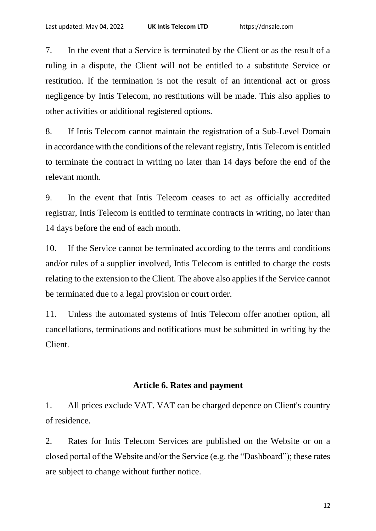7. In the event that a Service is terminated by the Client or as the result of a ruling in a dispute, the Client will not be entitled to a substitute Service or restitution. If the termination is not the result of an intentional act or gross negligence by Intis Telecom, no restitutions will be made. This also applies to other activities or additional registered options.

8. If Intis Telecom cannot maintain the registration of a Sub-Level Domain in accordance with the conditions of the relevant registry, Intis Telecom is entitled to terminate the contract in writing no later than 14 days before the end of the relevant month.

9. In the event that Intis Telecom ceases to act as officially accredited registrar, Intis Telecom is entitled to terminate contracts in writing, no later than 14 days before the end of each month.

10. If the Service cannot be terminated according to the terms and conditions and/or rules of a supplier involved, Intis Telecom is entitled to charge the costs relating to the extension to the Client. The above also applies if the Service cannot be terminated due to a legal provision or court order.

11. Unless the automated systems of Intis Telecom offer another option, all cancellations, terminations and notifications must be submitted in writing by the Client.

# **Article 6. Rates and payment**

1. All prices exclude VAT. VAT can be charged depence on Client's country of residence.

2. Rates for Intis Telecom Services are published on the Website or on a closed portal of the Website and/or the Service (e.g. the "Dashboard"); these rates are subject to change without further notice.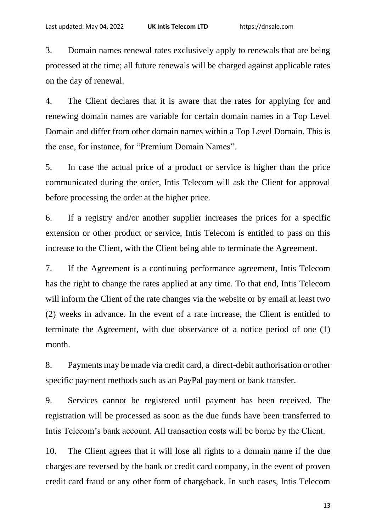3. Domain names renewal rates exclusively apply to renewals that are being processed at the time; all future renewals will be charged against applicable rates on the day of renewal.

4. The Client declares that it is aware that the rates for applying for and renewing domain names are variable for certain domain names in a Top Level Domain and differ from other domain names within a Top Level Domain. This is the case, for instance, for "Premium Domain Names".

5. In case the actual price of a product or service is higher than the price communicated during the order, Intis Telecom will ask the Client for approval before processing the order at the higher price.

6. If a registry and/or another supplier increases the prices for a specific extension or other product or service, Intis Telecom is entitled to pass on this increase to the Client, with the Client being able to terminate the Agreement.

7. If the Agreement is a continuing performance agreement, Intis Telecom has the right to change the rates applied at any time. To that end, Intis Telecom will inform the Client of the rate changes via the website or by email at least two (2) weeks in advance. In the event of a rate increase, the Client is entitled to terminate the Agreement, with due observance of a notice period of one (1) month.

8. Payments may be made via credit card, a direct-debit authorisation or other specific payment methods such as an PayPal payment or bank transfer.

9. Services cannot be registered until payment has been received. The registration will be processed as soon as the due funds have been transferred to Intis Telecom's bank account. All transaction costs will be borne by the Client.

10. The Client agrees that it will lose all rights to a domain name if the due charges are reversed by the bank or credit card company, in the event of proven credit card fraud or any other form of chargeback. In such cases, Intis Telecom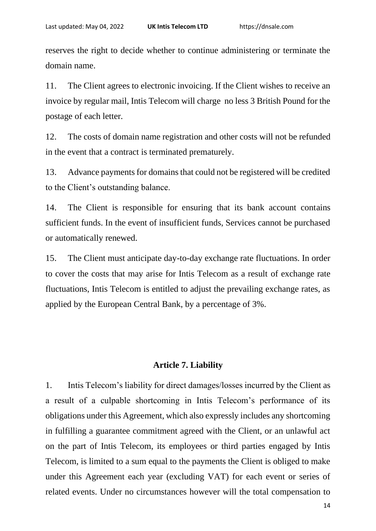reserves the right to decide whether to continue administering or terminate the domain name.

11. The Client agrees to electronic invoicing. If the Client wishes to receive an invoice by regular mail, Intis Telecom will charge no less 3 British Pound for the postage of each letter.

12. The costs of domain name registration and other costs will not be refunded in the event that a contract is terminated prematurely.

13. Advance payments for domains that could not be registered will be credited to the Client's outstanding balance.

14. The Client is responsible for ensuring that its bank account contains sufficient funds. In the event of insufficient funds, Services cannot be purchased or automatically renewed.

15. The Client must anticipate day-to-day exchange rate fluctuations. In order to cover the costs that may arise for Intis Telecom as a result of exchange rate fluctuations, Intis Telecom is entitled to adjust the prevailing exchange rates, as applied by the European Central Bank, by a percentage of 3%.

#### **Article 7. Liability**

1. Intis Telecom's liability for direct damages/losses incurred by the Client as a result of a culpable shortcoming in Intis Telecom's performance of its obligations under this Agreement, which also expressly includes any shortcoming in fulfilling a guarantee commitment agreed with the Client, or an unlawful act on the part of Intis Telecom, its employees or third parties engaged by Intis Telecom, is limited to a sum equal to the payments the Client is obliged to make under this Agreement each year (excluding VAT) for each event or series of related events. Under no circumstances however will the total compensation to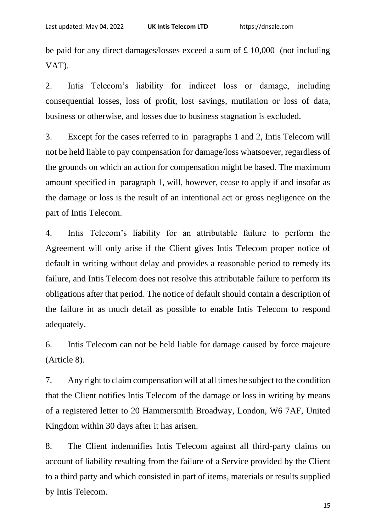be paid for any direct damages/losses exceed a sum of £ 10,000 (not including VAT).

2. Intis Telecom's liability for indirect loss or damage, including consequential losses, loss of profit, lost savings, mutilation or loss of data, business or otherwise, and losses due to business stagnation is excluded.

3. Except for the cases referred to in paragraphs 1 and 2, Intis Telecom will not be held liable to pay compensation for damage/loss whatsoever, regardless of the grounds on which an action for compensation might be based. The maximum amount specified in paragraph 1, will, however, cease to apply if and insofar as the damage or loss is the result of an intentional act or gross negligence on the part of Intis Telecom.

4. Intis Telecom's liability for an attributable failure to perform the Agreement will only arise if the Client gives Intis Telecom proper notice of default in writing without delay and provides a reasonable period to remedy its failure, and Intis Telecom does not resolve this attributable failure to perform its obligations after that period. The notice of default should contain a description of the failure in as much detail as possible to enable Intis Telecom to respond adequately.

6. Intis Telecom can not be held liable for damage caused by force majeure (Article 8).

7. Any right to claim compensation will at all times be subject to the condition that the Client notifies Intis Telecom of the damage or loss in writing by means of a registered letter to 20 Hammersmith Broadway, London, W6 7AF, United Kingdom within 30 days after it has arisen.

8. The Client indemnifies Intis Telecom against all third-party claims on account of liability resulting from the failure of a Service provided by the Client to a third party and which consisted in part of items, materials or results supplied by Intis Telecom.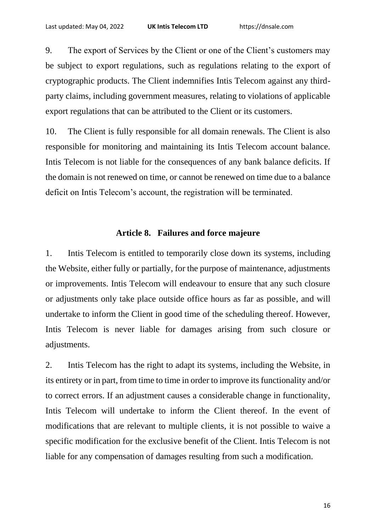9. The export of Services by the Client or one of the Client's customers may be subject to export regulations, such as regulations relating to the export of cryptographic products. The Client indemnifies Intis Telecom against any thirdparty claims, including government measures, relating to violations of applicable export regulations that can be attributed to the Client or its customers.

10. The Client is fully responsible for all domain renewals. The Client is also responsible for monitoring and maintaining its Intis Telecom account balance. Intis Telecom is not liable for the consequences of any bank balance deficits. If the domain is not renewed on time, or cannot be renewed on time due to a balance deficit on Intis Telecom's account, the registration will be terminated.

#### **Article 8. Failures and force majeure**

1. Intis Telecom is entitled to temporarily close down its systems, including the Website, either fully or partially, for the purpose of maintenance, adjustments or improvements. Intis Telecom will endeavour to ensure that any such closure or adjustments only take place outside office hours as far as possible, and will undertake to inform the Client in good time of the scheduling thereof. However, Intis Telecom is never liable for damages arising from such closure or adjustments.

2. Intis Telecom has the right to adapt its systems, including the Website, in its entirety or in part, from time to time in order to improve its functionality and/or to correct errors. If an adjustment causes a considerable change in functionality, Intis Telecom will undertake to inform the Client thereof. In the event of modifications that are relevant to multiple clients, it is not possible to waive a specific modification for the exclusive benefit of the Client. Intis Telecom is not liable for any compensation of damages resulting from such a modification.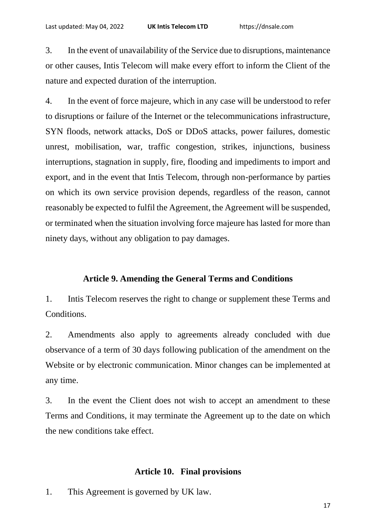3. In the event of unavailability of the Service due to disruptions, maintenance or other causes, Intis Telecom will make every effort to inform the Client of the nature and expected duration of the interruption.

4. In the event of force majeure, which in any case will be understood to refer to disruptions or failure of the Internet or the telecommunications infrastructure, SYN floods, network attacks, DoS or DDoS attacks, power failures, domestic unrest, mobilisation, war, traffic congestion, strikes, injunctions, business interruptions, stagnation in supply, fire, flooding and impediments to import and export, and in the event that Intis Telecom, through non-performance by parties on which its own service provision depends, regardless of the reason, cannot reasonably be expected to fulfil the Agreement, the Agreement will be suspended, or terminated when the situation involving force majeure has lasted for more than ninety days, without any obligation to pay damages.

# **Article 9. Amending the General Terms and Conditions**

1. Intis Telecom reserves the right to change or supplement these Terms and Conditions.

2. Amendments also apply to agreements already concluded with due observance of a term of 30 days following publication of the amendment on the Website or by electronic communication. Minor changes can be implemented at any time.

3. In the event the Client does not wish to accept an amendment to these Terms and Conditions, it may terminate the Agreement up to the date on which the new conditions take effect.

# **Article 10. Final provisions**

1. This Agreement is governed by UK law.